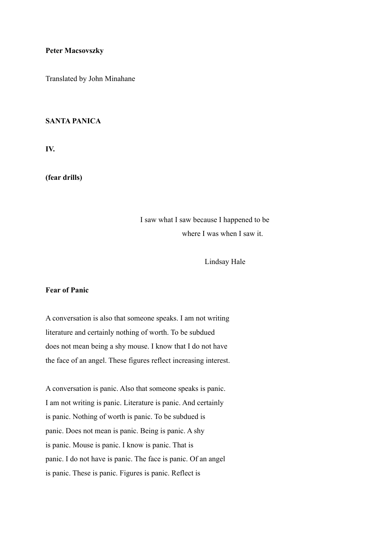### **Peter Macsovszky**

Translated by John Minahane

## **SANTA PANICA**

**IV.** 

**(fear drills)** 

# I saw what I saw because I happened to be where I was when I saw it.

Lindsay Hale

## **Fear of Panic**

A conversation is also that someone speaks. I am not writing literature and certainly nothing of worth. To be subdued does not mean being a shy mouse. I know that I do not have the face of an angel. These figures reflect increasing interest.

A conversation is panic. Also that someone speaks is panic. I am not writing is panic. Literature is panic. And certainly is panic. Nothing of worth is panic. To be subdued is panic. Does not mean is panic. Being is panic. A shy is panic. Mouse is panic. I know is panic. That is panic. I do not have is panic. The face is panic. Of an angel is panic. These is panic. Figures is panic. Reflect is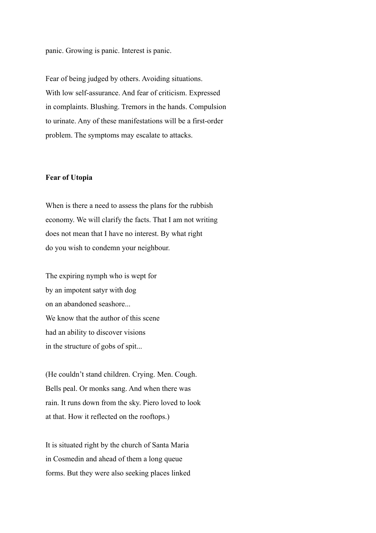panic. Growing is panic. Interest is panic.

Fear of being judged by others. Avoiding situations. With low self-assurance. And fear of criticism. Expressed in complaints. Blushing. Tremors in the hands. Compulsion to urinate. Any of these manifestations will be a first-order problem. The symptoms may escalate to attacks.

#### **Fear of Utopia**

When is there a need to assess the plans for the rubbish economy. We will clarify the facts. That I am not writing does not mean that I have no interest. By what right do you wish to condemn your neighbour.

The expiring nymph who is wept for by an impotent satyr with dog on an abandoned seashore... We know that the author of this scene had an ability to discover visions in the structure of gobs of spit...

(He couldn't stand children. Crying. Men. Cough. Bells peal. Or monks sang. And when there was rain. It runs down from the sky. Piero loved to look at that. How it reflected on the rooftops.)

It is situated right by the church of Santa Maria in Cosmedin and ahead of them a long queue forms. But they were also seeking places linked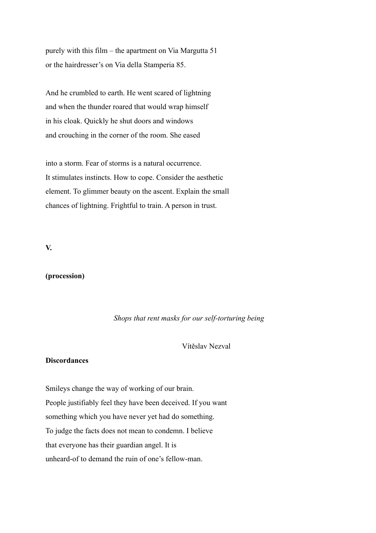purely with this film – the apartment on Via Margutta 51 or the hairdresser's on Via della Stamperia 85.

And he crumbled to earth. He went scared of lightning and when the thunder roared that would wrap himself in his cloak. Quickly he shut doors and windows and crouching in the corner of the room. She eased

into a storm. Fear of storms is a natural occurrence. It stimulates instincts. How to cope. Consider the aesthetic element. To glimmer beauty on the ascent. Explain the small chances of lightning. Frightful to train. A person in trust.

**V.** 

## **(procession)**

## *Shops that rent masks for our self-torturing being*

## Vítěslav Nezval

## **Discordances**

Smileys change the way of working of our brain. People justifiably feel they have been deceived. If you want something which you have never yet had do something. To judge the facts does not mean to condemn. I believe that everyone has their guardian angel. It is unheard-of to demand the ruin of one's fellow-man.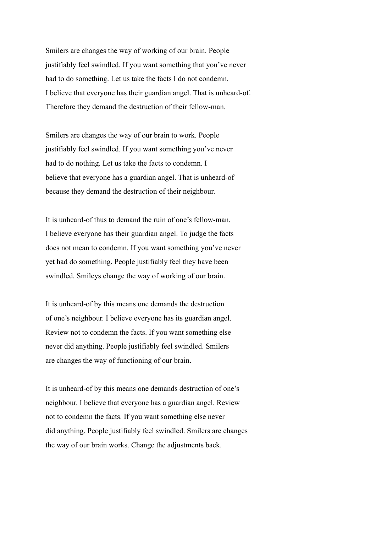Smilers are changes the way of working of our brain. People justifiably feel swindled. If you want something that you've never had to do something. Let us take the facts I do not condemn. I believe that everyone has their guardian angel. That is unheard-of. Therefore they demand the destruction of their fellow-man.

Smilers are changes the way of our brain to work. People justifiably feel swindled. If you want something you've never had to do nothing. Let us take the facts to condemn. I believe that everyone has a guardian angel. That is unheard-of because they demand the destruction of their neighbour.

It is unheard-of thus to demand the ruin of one's fellow-man. I believe everyone has their guardian angel. To judge the facts does not mean to condemn. If you want something you've never yet had do something. People justifiably feel they have been swindled. Smileys change the way of working of our brain.

It is unheard-of by this means one demands the destruction of one's neighbour. I believe everyone has its guardian angel. Review not to condemn the facts. If you want something else never did anything. People justifiably feel swindled. Smilers are changes the way of functioning of our brain.

It is unheard-of by this means one demands destruction of one's neighbour. I believe that everyone has a guardian angel. Review not to condemn the facts. If you want something else never did anything. People justifiably feel swindled. Smilers are changes the way of our brain works. Change the adjustments back.